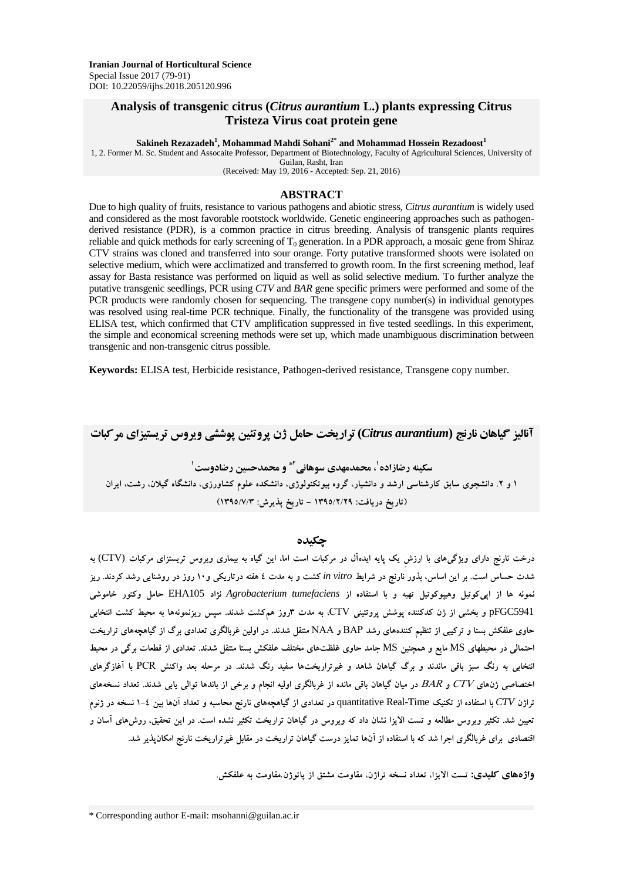## **Analysis of transgenic citrus (***Citrus aurantium* **L.) plants expressing Citrus Tristeza Virus coat protein gene**

**Sakineh Rezazadeh<sup>1</sup> , Mohammad Mahdi Sohani2\* and Mohammad Hossein Rezadoost<sup>1</sup>**

1, 2. Former M. Sc. Student and Assocaite Professor, Department of Biotechnology, Faculty of Agricultural Sciences, University of Guilan, Rasht, Iran

(Received: May 19, 2016 - Accepted: Sep. 21, 2016)

#### **ABSTRACT**

Due to high quality of fruits, resistance to various pathogens and abiotic stress, *Citrus aurantium* is widely used and considered as the most favorable rootstock worldwide. Genetic engineering approaches such as pathogenderived resistance (PDR), is a common practice in citrus breeding. Analysis of transgenic plants requires reliable and quick methods for early screening of  $T_0$  generation. In a PDR approach, a mosaic gene from Shiraz CTV strains was cloned and transferred into sour orange. Forty putative transformed shoots were isolated on selective medium, which were acclimatized and transferred to growth room. In the first screening method, leaf assay for Basta resistance was performed on liquid as well as solid selective medium. To further analyze the putative transgenic seedlings, PCR using *CTV* and *BAR* gene specific primers were performed and some of the PCR products were randomly chosen for sequencing. The transgene copy number(s) in individual genotypes was resolved using real-time PCR technique. Finally, the functionality of the transgene was provided using ELISA test, which confirmed that CTV amplification suppressed in five tested seedlings. In this experiment, the simple and economical screening methods were set up, which made unambiguous discrimination between transgenic and non-transgenic citrus possible.

**Keywords:** ELISA test, Herbicide resistance, Pathogen-derived resistance, Transgene copy number.

**آنالیز گیاهان نارنج (***aurantium Citrus* **(تراریخت حامل ژن پروتئین پوششی ویروس تریستیزای مرکبات 2\* و محمدحسین رضادوست<sup>1</sup> ، محمدمهدی سوهانی <sup>1</sup> سکینه رضازاده 1 و .2 دانشجوی سابق کارشناسی ارشد و دانشیار، گروه بیوتکنولوژی، دانشکده علوم کشاورزی، دانشگاه گیالن، رشت، ایران )تاریخ دریافت: 1395/2/29 - تاریخ پذیرش: 1395/7/3(**

#### **چکیده**

**درخت نارنج دارای ویژگیهای با ارزشِ یک پایه ایدهآل در مرکبات است اما، این گیاه به بیماری ویروس تریستزای مرکبات** (CTV (**به شدت حساس است. بر این اساس، بذور نارنج در شرایط** *vitro in* **کشت و به مدت 4 هفته درتاریکی و10 روز در روشنایی رشد کردند. ریز نمونه ها از اپیکوتیل وهیپوکوتیل تهیه و با استفاده از** *tumefaciens Agrobacterium* **نژاد** 105EHA **حامل وکتور خاموشی**  5941pFGC **و بخشی از ژن کدکننده پوشش پروتئینی** VTC**، به مدت 3روز همکشت شدند. سپس ریزنمونهها به محیط کشت انتخابی حاوی علفکش بستا و ترکیبی از تنظیم کنندههای رشد** PAB **و** AAA **منتقل شدند. در اولین غربالگری تعدادی برگ از گیاهچههای تراریخت احتمالی در محیطهای** MS **مایع و همچنین** MS **جامد حاوی غلظتهای مختلف علفکش بستا منتقل شدند. تعدادی از قطعات برگی در محیط انتخابی به رنگ سبز باقی ماندند و برگ گیاهان شاهد و غیرتراریختها سفید رنگ شدند. در مرحله بعد واکنش** BVP **با آغازگرهای اختصاصی ژنهای** VTC **و** PAP **در میان گیاهان باقی مانده از غربالگری اولیه انجام و برخی از باندها توالی یابی شدند. تعداد نسخههای تراژن** *CTV* **با استفاده از تکنیک** Time-Real quantitative **در تعدادی از گیاهچههای نارنج محاسبه و تعداد آنها بین 1-4 نسخه در ژنوم تعیین شد. تکثیر ویروس مطالعه و تست االیزا نشان داد که ویروس در گیاهان تراریخت تکثیر نشده است. در این تحقیق، روشهای آسان و اقتصادی برای غربالگری اجرا شد که با استفاده از آنها تمایز درست گیاهان تراریخت در مقابل غیرتراریخت نارنج امکانپذیر شد.** 

**واژههای کلیدی: تست االیزا، تعداد نسخه تراژن، مقاومت مشتق از پاتوژن**.**مقاومت به علفکش.**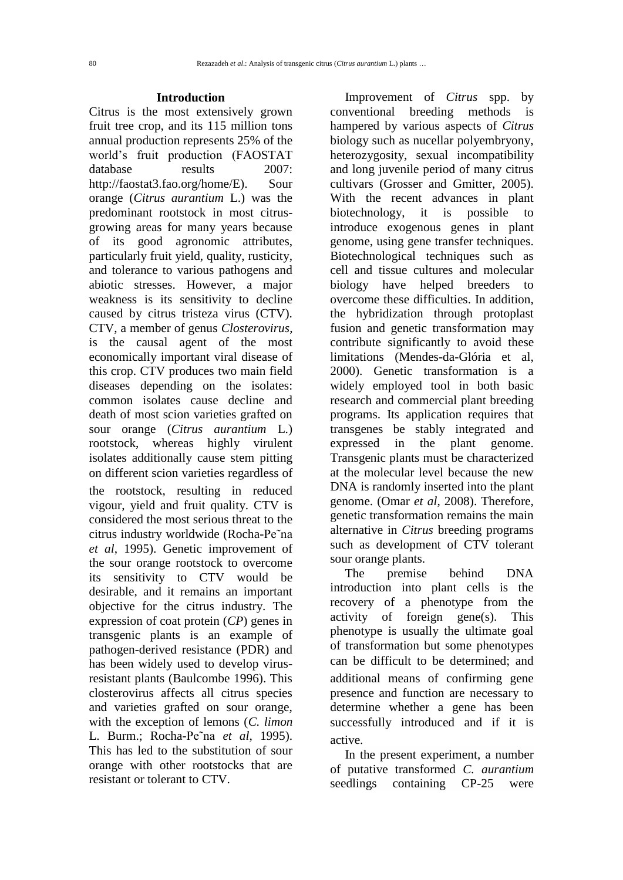# **Introduction**

Citrus is the most extensively grown fruit tree crop, and its 115 million tons annual production represents 25% of the world's fruit production (FAOSTAT database results 2007: http://faostat3.fao.org/home/E). Sour orange (*Citrus aurantium* L.) was the predominant rootstock in most citrusgrowing areas for many years because of its good agronomic attributes, particularly fruit yield, quality, rusticity, and tolerance to various pathogens and abiotic stresses. However, a major weakness is its sensitivity to decline caused by citrus tristeza virus (CTV). CTV, a member of genus *Closterovirus*, is the causal agent of the most economically important viral disease of this crop. CTV produces two main field diseases depending on the isolates: common isolates cause decline and death of most scion varieties grafted on sour orange (*Citrus aurantium* L.) rootstock, whereas highly virulent isolates additionally cause stem pitting on different scion varieties regardless of the rootstock, resulting in reduced vigour, yield and fruit quality. CTV is considered the most serious threat to the citrus industry worldwide (Rocha-Pe˜na *et al*, 1995). Genetic improvement of the sour orange rootstock to overcome its sensitivity to CTV would be desirable, and it remains an important objective for the citrus industry. The expression of coat protein (*CP*) genes in transgenic plants is an example of pathogen-derived resistance (PDR) and has been widely used to develop virusresistant plants (Baulcombe 1996). This closterovirus affects all citrus species and varieties grafted on sour orange, with the exception of lemons (*C. limon*  L. Burm.; Rocha-Pe˜na *et al*, 1995). This has led to the substitution of sour orange with other rootstocks that are resistant or tolerant to CTV.

Improvement of *Citrus* spp. by conventional breeding methods is hampered by various aspects of *Citrus*  biology such as nucellar polyembryony, heterozygosity, sexual incompatibility and long juvenile period of many citrus cultivars (Grosser and Gmitter, 2005). With the recent advances in plant biotechnology, it is possible to introduce exogenous genes in plant genome, using gene transfer techniques. Biotechnological techniques such as cell and tissue cultures and molecular biology have helped breeders to overcome these difficulties. In addition, the hybridization through protoplast fusion and genetic transformation may contribute significantly to avoid these limitations (Mendes-da-Glória et al, 2000). Genetic transformation is a widely employed tool in both basic research and commercial plant breeding programs. Its application requires that transgenes be stably integrated and expressed in the plant genome. Transgenic plants must be characterized at the molecular level because the new DNA is randomly inserted into the plant genome. (Omar *et al*, 2008). Therefore, genetic transformation remains the main alternative in *Citrus* breeding programs such as development of CTV tolerant sour orange plants.

The premise behind DNA introduction into plant cells is the recovery of a phenotype from the activity of foreign gene(s). This phenotype is usually the ultimate goal of transformation but some phenotypes can be difficult to be determined; and additional means of confirming gene presence and function are necessary to determine whether a gene has been successfully introduced and if it is active.

In the present experiment, a number of putative transformed *C. aurantium* seedlings containing CP-25 were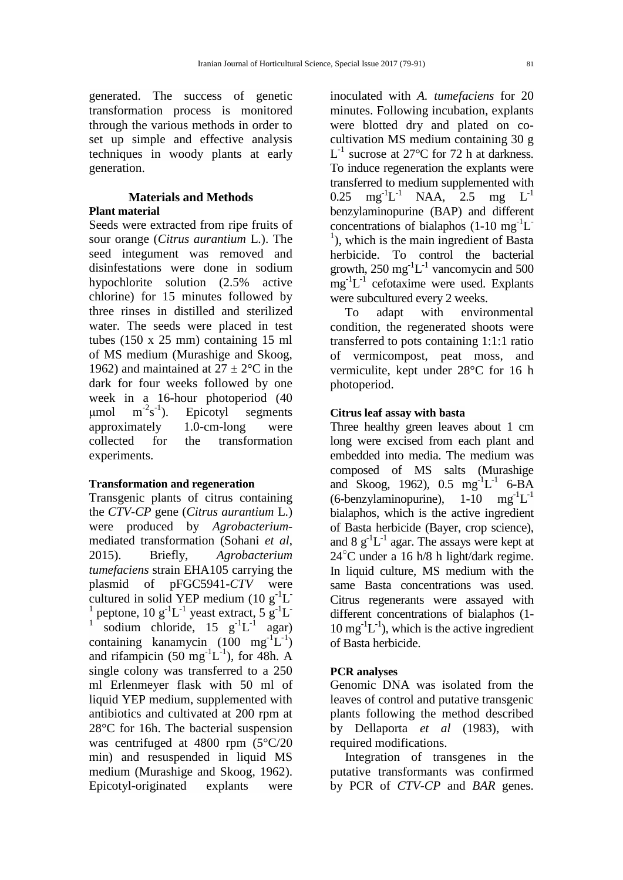generated. The success of genetic transformation process is monitored through the various methods in order to set up simple and effective analysis techniques in woody plants at early generation.

### **Materials and Methods Plant material**

Seeds were extracted from ripe fruits of sour orange (*Citrus aurantium* L.). The seed integument was removed and disinfestations were done in sodium hypochlorite solution (2.5% active chlorine) for 15 minutes followed by three rinses in distilled and sterilized water. The seeds were placed in test tubes (150 x 25 mm) containing 15 ml of MS medium (Murashige and Skoog, 1962) and maintained at  $27 \pm 2$ °C in the dark for four weeks followed by one week in a 16-hour photoperiod (40 μmol  $s^{-1}$ ). Epicotyl segments approximately 1.0-cm-long were collected for the transformation experiments.

#### **Transformation and regeneration**

Transgenic plants of citrus containing the *CTV-CP* gene (*Citrus aurantium* L.) were produced by *Agrobacterium*mediated transformation (Sohani *et al*, 2015). Briefly, *Agrobacterium tumefaciens* strain EHA105 carrying the plasmid of pFGC5941-*CTV* were cultured in solid YEP medium  $(10 g<sup>-1</sup>L)$ 1 peptone,  $10 \text{ g}^{-1}$ L<sup>-1</sup> yeast extract,  $5 \text{ g}^{-1}$ L<sup>-1</sup> 1 sodium chloride,  $15 \text{ g}^{-1}L^{-1}$  agar) containing kanamycin  $(100 \text{ mg}^{-1}L^{-1})$ and rifampicin  $(50 \text{ mg}^{-1}L^{-1})$ , for 48h. A single colony was transferred to a 250 ml Erlenmeyer flask with 50 ml of liquid YEP medium, supplemented with antibiotics and cultivated at 200 rpm at 28°C for 16h. The bacterial suspension was centrifuged at 4800 rpm (5°C/20 min) and resuspended in liquid MS medium (Murashige and Skoog, 1962). Epicotyl-originated explants were

inoculated with *A. tumefaciens* for 20 minutes. Following incubation, explants were blotted dry and plated on cocultivation MS medium containing 30 g  $L^{-1}$  sucrose at 27°C for 72 h at darkness. To induce regeneration the explants were transferred to medium supplemented with 0.25 mg<sup>-1</sup>L<sup>-1</sup> NAA, 2.5 mg L<sup>-1</sup> benzylaminopurine (BAP) and different concentrations of bialaphos  $(1\n-10 \text{ mg}^{-1})$ L  $<sup>1</sup>$ ), which is the main ingredient of Basta</sup> herbicide. To control the bacterial growth,  $250 \text{ mg}^{-1}$ L<sup>-1</sup> vancomycin and  $500$  $mg^{-1}L^{-1}$  cefotaxime were used. Explants were subcultured every 2 weeks.

To adapt with environmental condition, the regenerated shoots were transferred to pots containing 1:1:1 ratio of vermicompost, peat moss, and vermiculite, kept under 28°C for 16 h photoperiod.

#### **Citrus leaf assay with basta**

Three healthy green leaves about 1 cm long were excised from each plant and embedded into media. The medium was composed of MS salts (Murashige and Skoog, 1962),  $0.5 \text{ mg}^{-1}L^{-1}$  6-BA  $(6$ -benzylaminopurine),  $1 - 10$  mg<sup>-1</sup>L<sup>-1</sup> bialaphos, which is the active ingredient of Basta herbicide (Bayer, crop science), and  $8 \text{ g}^{-1}$ L<sup>-1</sup> agar. The assays were kept at  $24^{\circ}$ C under a 16 h/8 h light/dark regime. In liquid culture, MS medium with the same Basta concentrations was used. Citrus regenerants were assayed with different concentrations of bialaphos (1-  $10 \text{ mg}^{-1}$ L<sup>-1</sup>), which is the active ingredient of Basta herbicide.

### **PCR analyses**

Genomic DNA was isolated from the leaves of control and putative transgenic plants following the method described by Dellaporta *et al* (1983), with required modifications.

Integration of transgenes in the putative transformants was confirmed by PCR of *CTV-CP* and *BAR* genes.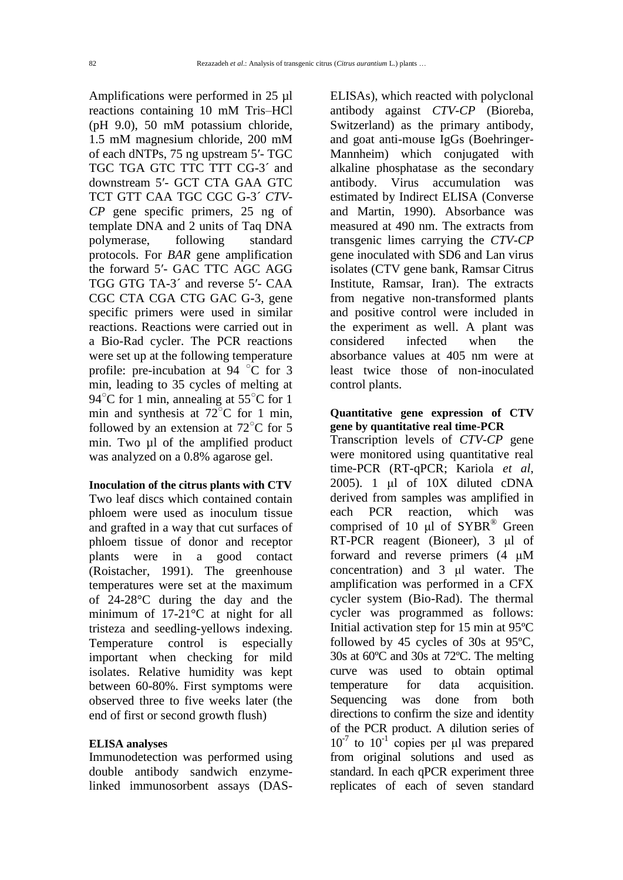Amplifications were performed in 25 µl reactions containing 10 mM Tris–HCl (pH 9.0), 50 mM potassium chloride, 1.5 mM magnesium chloride, 200 mM of each dNTPs, 75 ng upstream 5′- TGC TGC TGA GTC TTC TTT CG-3´ and downstream 5′- GCT CTA GAA GTC TCT GTT CAA TGC CGC G-3´ *CTV-CP* gene specific primers, 25 ng of template DNA and 2 units of Taq DNA polymerase, following standard protocols. For *BAR* gene amplification the forward 5′- GAC TTC AGC AGG TGG GTG TA-3´ and reverse 5′- CAA CGC CTA CGA CTG GAC G-3, gene specific primers were used in similar reactions. Reactions were carried out in a Bio-Rad cycler. The PCR reactions were set up at the following temperature profile: pre-incubation at 94  $\degree$ C for 3 min, leading to 35 cycles of melting at 94<sup>°</sup>C for 1 min, annealing at 55<sup>°</sup>C for 1 min and synthesis at  $72^{\circ}$ C for 1 min, followed by an extension at  $72^{\circ}$ C for 5 min. Two ul of the amplified product was analyzed on a 0.8% agarose gel.

#### **Inoculation of the citrus plants with CTV**

Two leaf discs which contained contain phloem were used as inoculum tissue and grafted in a way that cut surfaces of phloem tissue of donor and receptor plants were in a good contact (Roistacher, 1991). The greenhouse temperatures were set at the maximum of 24-28°C during the day and the minimum of 17-21°C at night for all tristeza and seedling-yellows indexing. Temperature control is especially important when checking for mild isolates. Relative humidity was kept between 60-80%. First symptoms were observed three to five weeks later (the end of first or second growth flush)

#### **ELISA analyses**

Immunodetection was performed using double antibody sandwich enzymelinked immunosorbent assays (DAS-

ELISAs), which reacted with polyclonal antibody against *CTV-CP* (Bioreba, Switzerland) as the primary antibody, and goat anti-mouse IgGs (Boehringer-Mannheim) which conjugated with alkaline phosphatase as the secondary antibody. Virus accumulation was estimated by Indirect ELISA (Converse and Martin, 1990). Absorbance was measured at 490 nm. The extracts from transgenic limes carrying the *CTV-CP*  gene inoculated with SD6 and Lan virus isolates (CTV gene bank, Ramsar Citrus Institute, Ramsar, Iran). The extracts from negative non-transformed plants and positive control were included in the experiment as well. A plant was considered infected when the absorbance values at 405 nm were at least twice those of non-inoculated control plants.

### **Quantitative gene expression of CTV gene by quantitative real time-PCR**

Transcription levels of *CTV-CP* gene were monitored using quantitative real time-PCR (RT-qPCR; Kariola *et al*, 2005). 1 μl of  $10X$  diluted cDNA derived from samples was amplified in each PCR reaction, which was comprised of 10 μl of SYBR® Green RT-PCR reagent (Bioneer), 3 μl of forward and reverse primers (4 μM concentration) and 3 μl water. The amplification was performed in a CFX cycler system (Bio-Rad). The thermal cycler was programmed as follows: Initial activation step for 15 min at 95ºC followed by 45 cycles of 30s at 95ºC, 30s at 60ºC and 30s at 72ºC. The melting curve was used to obtain optimal temperature for data acquisition. Sequencing was done from both directions to confirm the size and identity of the PCR product. A dilution series of  $10^{-7}$  to  $10^{-1}$  copies per μl was prepared from original solutions and used as standard. In each qPCR experiment three replicates of each of seven standard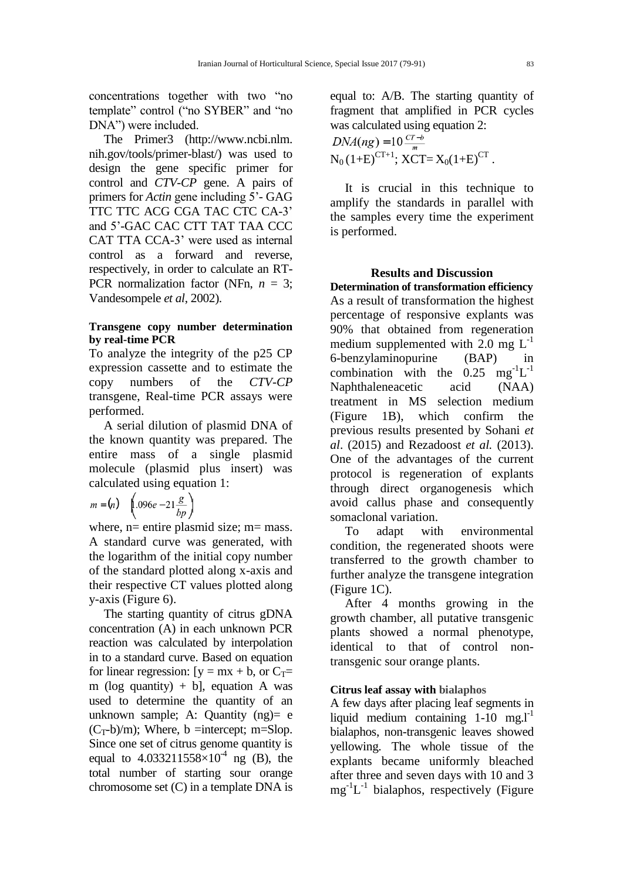concentrations together with two "no template" control ("no SYBER" and "no DNA") were included.

The Primer3 (http://www.ncbi.nlm. nih.gov/tools/primer-blast/) was used to design the gene specific primer for control and *CTV-CP* gene. A pairs of primers for *Actin* gene including 5'- GAG TTC TTC ACG CGA TAC CTC CA-3' and 5'-GAC CAC CTT TAT TAA CCC CAT TTA CCA-3' were used as internal control as a forward and reverse, respectively, in order to calculate an RT-PCR normalization factor (NFn, *n* = 3; Vandesompele *et al*, 2002).

### **Transgene copy number determination by real-time PCR**

To analyze the integrity of the p25 CP expression cassette and to estimate the copy numbers of the *CTV-CP*  transgene, Real-time PCR assays were performed.

A serial dilution of plasmid DNA of the known quantity was prepared. The entire mass of a single plasmid molecule (plasmid plus insert) was calculated using equation 1:

$$
m = (n) \quad \left( .096e - 21 \frac{g}{bp} \right)
$$

where,  $n=$  entire plasmid size;  $m=$  mass. A standard curve was generated, with the logarithm of the initial copy number of the standard plotted along x-axis and their respective CT values plotted along y-axis (Figure 6).

The starting quantity of citrus gDNA concentration (A) in each unknown PCR reaction was calculated by interpolation in to a standard curve. Based on equation for linear regression:  $[y = mx + b, or C_T=$ m (log quantity) + b], equation A was used to determine the quantity of an unknown sample: A: Quantity  $(np) = e$  $(C_T-b)/m$ ; Where, b =intercept; m=Slop. Since one set of citrus genome quantity is equal to  $4.033211558 \times 10^{-4}$  ng (B), the total number of starting sour orange chromosome set (C) in a template DNA is

equal to: A/B. The starting quantity of fragment that amplified in PCR cycles was calculated using equation 2:

$$
DNA(ng) = 10 \frac{CT - b}{m}
$$
  
N<sub>0</sub> (1+E)<sup>CT+1</sup>; XCT = X<sub>0</sub>(1+E)<sup>CT</sup>.

It is crucial in this technique to amplify the standards in parallel with the samples every time the experiment is performed.

# **Results and Discussion**

**Determination of transformation efficiency** As a result of transformation the highest percentage of responsive explants was 90% that obtained from regeneration medium supplemented with 2.0 mg  $L^{-1}$ 6-benzylaminopurine (BAP) in combination with the  $0.25 \text{ mg}^{-1}L^{-1}$ Naphthaleneacetic acid (NAA) treatment in MS selection medium (Figure 1B), which confirm the previous results presented by Sohani *et al*. (2015) and Rezadoost *et al.* (2013). One of the advantages of the current protocol is regeneration of explants through direct organogenesis which avoid callus phase and consequently somaclonal variation.

To adapt with environmental condition, the regenerated shoots were transferred to the growth chamber to further analyze the transgene integration (Figure 1C).

After 4 months growing in the growth chamber, all putative transgenic plants showed a normal phenotype, identical to that of control nontransgenic sour orange plants.

#### **Citrus leaf assay with bialaphos**

A few days after placing leaf segments in liquid medium containing  $1-10$  mg. $l^{-1}$ bialaphos, non-transgenic leaves showed yellowing. The whole tissue of the explants became uniformly bleached after three and seven days with 10 and 3  $mg^{-1}L^{-1}$  bialaphos, respectively (Figure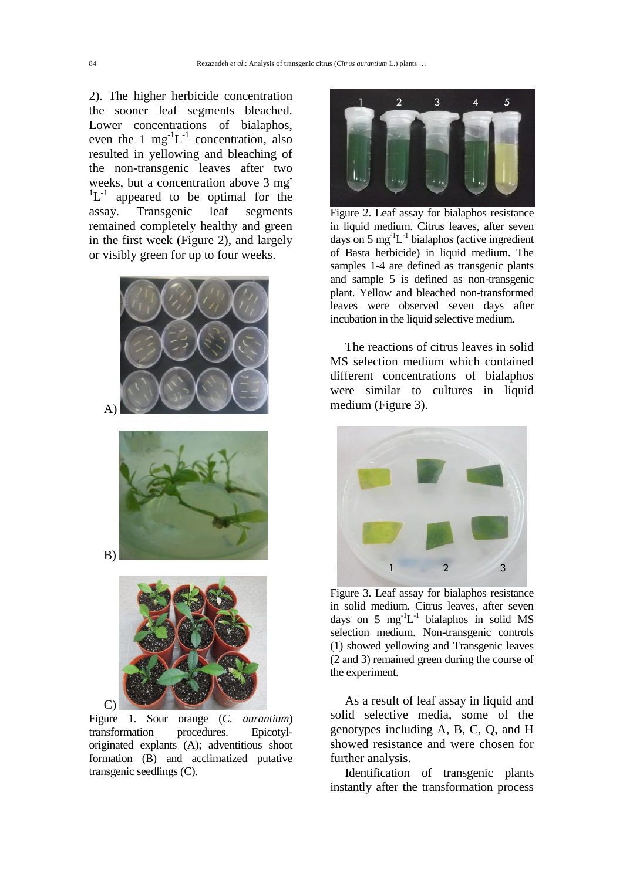2). The higher herbicide concentration the sooner leaf segments bleached. Lower concentrations of bialaphos, even the 1  $mg^{-1}L^{-1}$  concentration, also resulted in yellowing and bleaching of the non-transgenic leaves after two weeks, but a concentration above 3 mg  ${}^{1}L^{-1}$  appeared to be optimal for the assay. Transgenic leaf segments remained completely healthy and green in the first week (Figure 2), and largely or visibly green for up to four weeks.



Figure 1. Sour orange (*C. aurantium*) transformation procedures. Epicotyloriginated explants (A); adventitious shoot formation (B) and acclimatized putative transgenic seedlings (C).



Figure 2. Leaf assay for bialaphos resistance in liquid medium. Citrus leaves, after seven days on 5 mg $^{-1}L^{-1}$  bialaphos (active ingredient of Basta herbicide) in liquid medium. The samples 1-4 are defined as transgenic plants and sample 5 is defined as non-transgenic plant. Yellow and bleached non-transformed leaves were observed seven days after incubation in the liquid selective medium.

The reactions of citrus leaves in solid MS selection medium which contained different concentrations of bialaphos were similar to cultures in liquid medium (Figure 3).



Figure 3. Leaf assay for bialaphos resistance in solid medium. Citrus leaves, after seven days on 5  $mg^{-1}L^{-1}$  bialaphos in solid MS selection medium. Non-transgenic controls (1) showed yellowing and Transgenic leaves (2 and 3) remained green during the course of the experiment.

As a result of leaf assay in liquid and solid selective media, some of the genotypes including A, B, C, Q, and H showed resistance and were chosen for further analysis.

Identification of transgenic plants instantly after the transformation process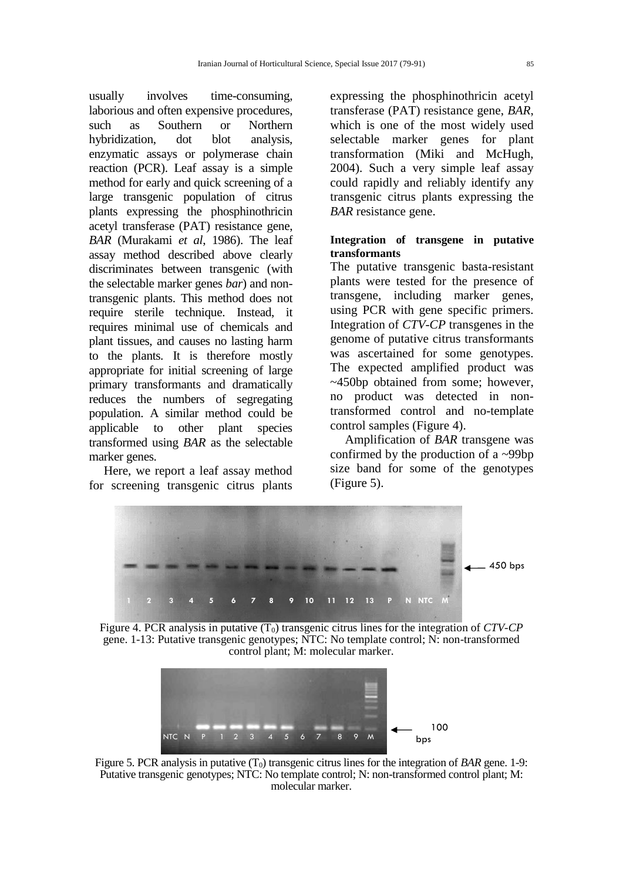usually involves time-consuming, laborious and often expensive procedures, such as Southern or Northern hybridization, dot blot analysis, enzymatic assays or polymerase chain reaction (PCR). Leaf assay is a simple method for early and quick screening of a large transgenic population of citrus plants expressing the phosphinothricin acetyl transferase (PAT) resistance gene, *BAR* (Murakami *et al*, 1986). The leaf assay method described above clearly discriminates between transgenic (with the selectable marker genes *bar*) and nontransgenic plants. This method does not require sterile technique. Instead, it requires minimal use of chemicals and plant tissues, and causes no lasting harm to the plants. It is therefore mostly appropriate for initial screening of large primary transformants and dramatically reduces the numbers of segregating population. A similar method could be applicable to other plant species transformed using *BAR* as the selectable marker genes.

Here, we report a leaf assay method for screening transgenic citrus plants

expressing the phosphinothricin acetyl transferase (PAT) resistance gene, *BAR*, which is one of the most widely used selectable marker genes for plant transformation (Miki and McHugh, 2004). Such a very simple leaf assay could rapidly and reliably identify any transgenic citrus plants expressing the *BAR* resistance gene.

# **Integration of transgene in putative transformants**

The putative transgenic basta-resistant plants were tested for the presence of transgene, including marker genes, using PCR with gene specific primers. Integration of *CTV-CP* transgenes in the genome of putative citrus transformants was ascertained for some genotypes. The expected amplified product was ~450bp obtained from some; however, no product was detected in nontransformed control and no-template control samples (Figure 4).

Amplification of *BAR* transgene was confirmed by the production of a ~99bp size band for some of the genotypes (Figure 5).



Figure 4. PCR analysis in putative  $(T_0)$  transgenic citrus lines for the integration of *CTV-CP* gene. 1-13: Putative transgenic genotypes; NTC: No template control; N: non-transformed control plant; M: molecular marker.



Figure 5. PCR analysis in putative  $(T_0)$  transgenic citrus lines for the integration of *BAR* gene. 1-9: Putative transgenic genotypes; NTC: No template control; N: non-transformed control plant; M: molecular marker.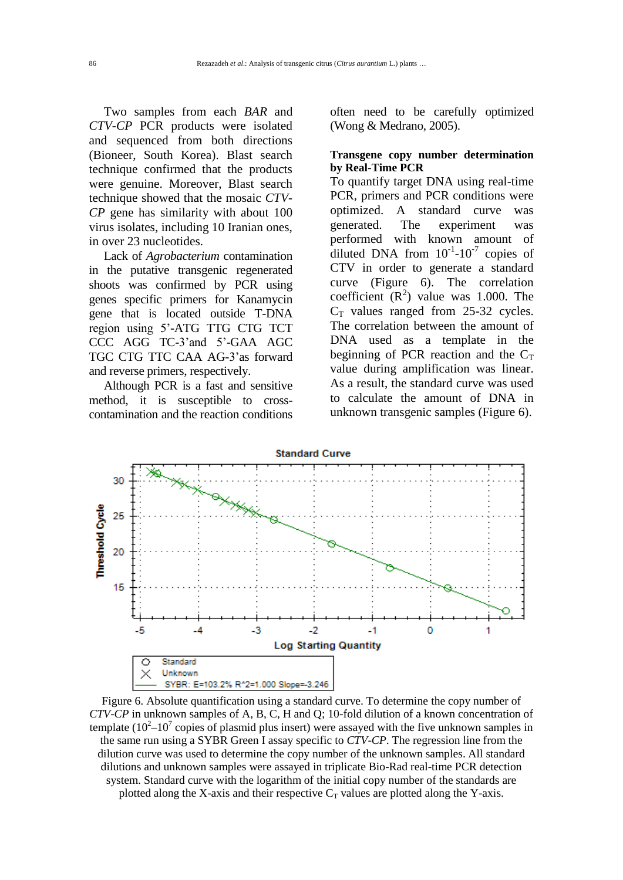Two samples from each *BAR* and *CTV-CP* PCR products were isolated and sequenced from both directions (Bioneer, South Korea). Blast search technique confirmed that the products were genuine. Moreover, Blast search technique showed that the mosaic *CTV-CP* gene has similarity with about 100 virus isolates, including 10 Iranian ones, in over 23 nucleotides.

Lack of *Agrobacterium* contamination in the putative transgenic regenerated shoots was confirmed by PCR using genes specific primers for Kanamycin gene that is located outside T-DNA region using 5'-ATG TTG CTG TCT CCC AGG TC-3'and 5'-GAA AGC TGC CTG TTC CAA AG-3'as forward and reverse primers, respectively.

Although PCR is a fast and sensitive method, it is susceptible to crosscontamination and the reaction conditions

often need to be carefully optimized (Wong & Medrano, 2005).

## **Transgene copy number determination by Real-Time PCR**

To quantify target DNA using real-time PCR, primers and PCR conditions were optimized. A standard curve was generated. The experiment was performed with known amount of diluted DNA from  $10^{-1}$ - $10^{-7}$  copies of CTV in order to generate a standard curve (Figure 6). The correlation coefficient  $(R^2)$  value was 1.000. The  $C_T$  values ranged from 25-32 cycles. The correlation between the amount of DNA used as a template in the beginning of PCR reaction and the  $C_T$ value during amplification was linear. As a result, the standard curve was used to calculate the amount of DNA in unknown transgenic samples (Figure 6).



Figure 6. Absolute quantification using a standard curve. To determine the copy number of *CTV*-*CP* in unknown samples of A, B, C, H and Q; 10-fold dilution of a known concentration of template  $(10^2 - 10^7)$  copies of plasmid plus insert) were assayed with the five unknown samples in the same run using a SYBR Green I assay specific to *CTV*-*CP*. The regression line from the dilution curve was used to determine the copy number of the unknown samples. All standard dilutions and unknown samples were assayed in triplicate Bio-Rad real-time PCR detection system. Standard curve with the logarithm of the initial copy number of the standards are plotted along the X-axis and their respective  $C_T$  values are plotted along the Y-axis.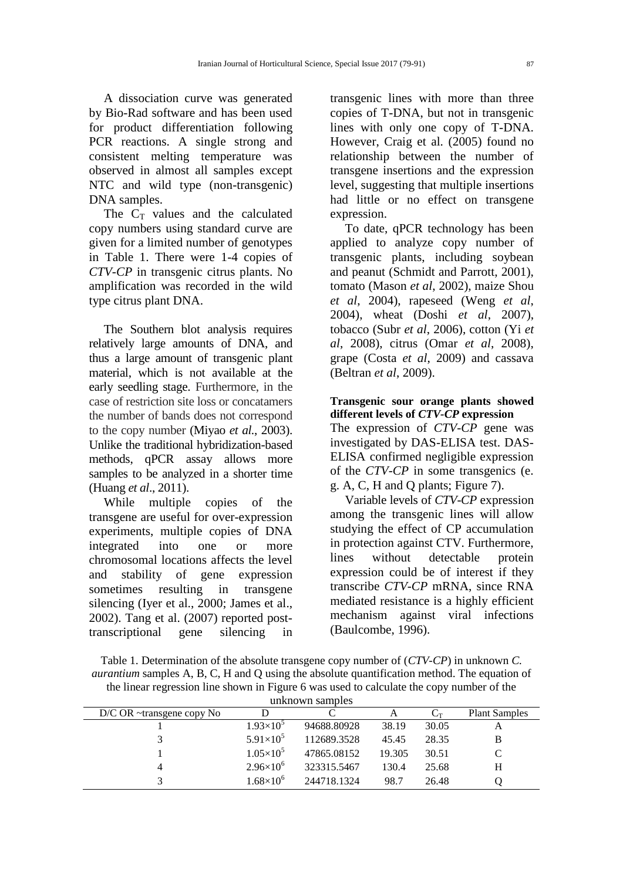A dissociation curve was generated by Bio-Rad software and has been used for product differentiation following PCR reactions. A single strong and consistent melting temperature was observed in almost all samples except NTC and wild type (non-transgenic) DNA samples.

The  $C_T$  values and the calculated copy numbers using standard curve are given for a limited number of genotypes in Table 1. There were 1-4 copies of *CTV*-*CP* in transgenic citrus plants. No amplification was recorded in the wild type citrus plant DNA.

The Southern blot analysis requires relatively large amounts of DNA, and thus a large amount of transgenic plant material, which is not available at the early seedling stage. Furthermore, in the case of restriction site loss or concatamers the number of bands does not correspond to the copy number (Miyao *et al.*, 2003). Unlike the traditional hybridization-based methods, qPCR assay allows more samples to be analyzed in a shorter time (Huang *et al*., 2011).

While multiple copies of the transgene are useful for over-expression experiments, multiple copies of DNA integrated into one or more chromosomal locations affects the level and stability of gene expression sometimes resulting in transgene silencing (Iyer et al., 2000; James et al., 2002). Tang et al. (2007) reported posttranscriptional gene silencing in

transgenic lines with more than three copies of T-DNA, but not in transgenic lines with only one copy of T-DNA. However, Craig et al. (2005) found no relationship between the number of transgene insertions and the expression level, suggesting that multiple insertions had little or no effect on transgene expression.

To date, qPCR technology has been applied to analyze copy number of transgenic plants, including soybean and peanut (Schmidt and Parrott, 2001), tomato (Mason *et al*, 2002), maize Shou *et al*, 2004), rapeseed (Weng *et al*, 2004), wheat (Doshi *et al*, 2007), tobacco (Subr *et al*, 2006), cotton (Yi *et al*, 2008), citrus (Omar *et al*, 2008), grape (Costa *et al*, 2009) and cassava (Beltran *et al*, 2009).

## **Transgenic sour orange plants showed different levels of** *CTV-CP* **expression**

The expression of *CTV-CP* gene was investigated by DAS-ELISA test. DAS-ELISA confirmed negligible expression of the *CTV-CP* in some transgenics (e. g. A, C, H and Q plants; Figure 7).

Variable levels of *CTV-CP* expression among the transgenic lines will allow studying the effect of CP accumulation in protection against CTV. Furthermore, lines without detectable protein expression could be of interest if they transcribe *CTV-CP* mRNA, since RNA mediated resistance is a highly efficient mechanism against viral infections (Baulcombe, 1996).

| Table 1. Determination of the absolute transgene copy number of $(TV-CP)$ in unknown C.             |
|-----------------------------------------------------------------------------------------------------|
| <i>aurantium</i> samples A, B, C, H and Q using the absolute quantification method. The equation of |
| the linear regression line shown in Figure 6 was used to calculate the copy number of the           |
| unknown camples                                                                                     |

| <u>ummown sumples</u> |                                   |                    |             |        |              |                      |  |
|-----------------------|-----------------------------------|--------------------|-------------|--------|--------------|----------------------|--|
|                       | $D/C$ OR $\sim$ transgene copy No |                    |             |        | $\mathbf{C}$ | <b>Plant Samples</b> |  |
|                       |                                   | $1.93\times10^{5}$ | 94688.80928 | 38.19  | 30.05        | A                    |  |
|                       |                                   | $5.91\times10^{5}$ | 112689.3528 | 45.45  | 28.35        | B                    |  |
|                       |                                   | $1.05\times10^{5}$ | 47865.08152 | 19.305 | 30.51        |                      |  |
|                       | 4                                 | $2.96\times10^{6}$ | 323315.5467 | 130.4  | 25.68        | H                    |  |
|                       |                                   | $1.68\times10^{6}$ | 244718.1324 | 98.7   | 26.48        |                      |  |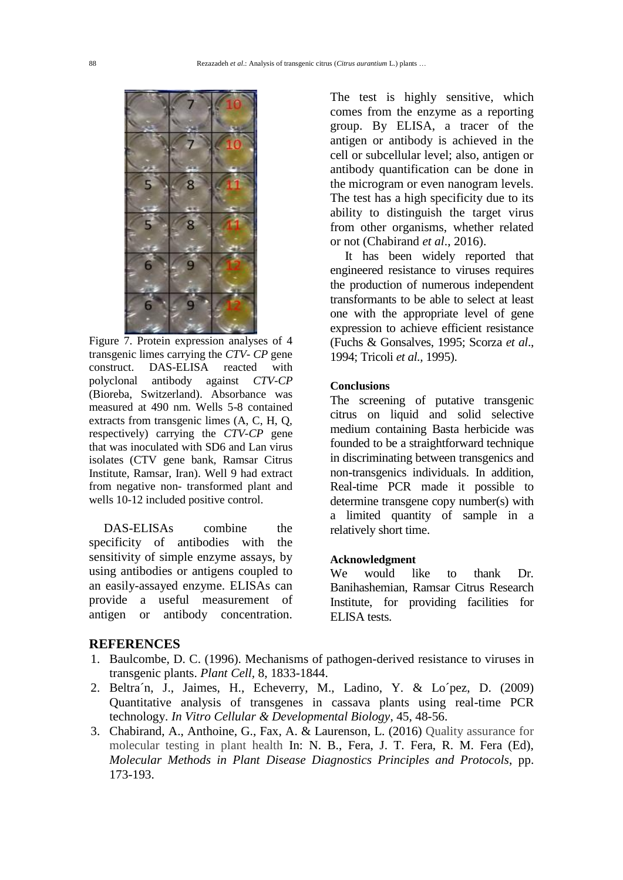

Figure 7. Protein expression analyses of 4 transgenic limes carrying the *CTV- CP* gene construct. DAS-ELISA reacted with polyclonal antibody against *CTV-CP* (Bioreba, Switzerland). Absorbance was measured at 490 nm. Wells 5-8 contained extracts from transgenic limes (A, C, H, Q, respectively) carrying the *CTV-CP* gene that was inoculated with SD6 and Lan virus isolates (CTV gene bank, Ramsar Citrus Institute, Ramsar, Iran). Well 9 had extract from negative non- transformed plant and wells 10-12 included positive control.

DAS-ELISAs combine the specificity of antibodies with the sensitivity of simple enzyme assays, by using antibodies or antigens coupled to an easily-assayed enzyme. ELISAs can provide a useful measurement of antigen or antibody concentration.

### **REFERENCES**

- 1. Baulcombe, D. C. (1996). Mechanisms of pathogen-derived resistance to viruses in transgenic plants. *Plant Cell,* 8, 1833-1844.
- 2. Beltra´n, J., Jaimes, H., Echeverry, M., Ladino, Y. & Lo´pez, D. (2009) Quantitative analysis of transgenes in cassava plants using real-time PCR technology. *In Vitro Cellular & Developmental Biology*, 45, 48-56.
- 3. Chabirand, A., Anthoine, G., Fax, A. & Laurenson, L. (2016) Quality assurance for molecular testing in plant health In: N. B., Fera, J. T. Fera, R. M. Fera (Ed), *Molecular Methods in Plant Disease Diagnostics Principles and Protocols*, pp. 173-193.

The test is highly sensitive, which comes from the enzyme as a reporting group. By ELISA, a tracer of the antigen or antibody is achieved in the cell or subcellular level; also, antigen or antibody quantification can be done in the microgram or even nanogram levels. The test has a high specificity due to its ability to distinguish the target virus from other organisms, whether related or not (Chabirand *et al*., 2016).

It has been widely reported that engineered resistance to viruses requires the production of numerous independent transformants to be able to select at least one with the appropriate level of gene expression to achieve efficient resistance (Fuchs & Gonsalves, 1995; Scorza *et al*., 1994; Tricoli *et al.,* 1995).

#### **Conclusions.**

The screening of putative transgenic citrus on liquid and solid selective medium containing Basta herbicide was founded to be a straightforward technique in discriminating between transgenics and non-transgenics individuals. In addition, Real-time PCR made it possible to determine transgene copy number(s) with a limited quantity of sample in a relatively short time.

### **Acknowledgment.**

We would like to thank Dr. Banihashemian, Ramsar Citrus Research Institute, for providing facilities for ELISA tests.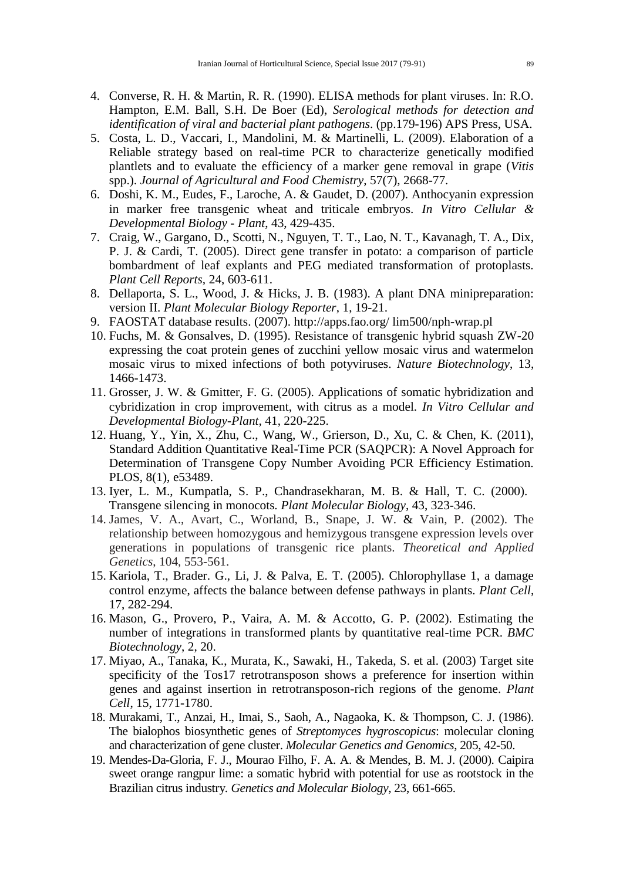- 4. Converse, R. H. & Martin, R. R. (1990). ELISA methods for plant viruses. In: R.O. Hampton, E.M. Ball, S.H. De Boer (Ed), *Serological methods for detection and identification of viral and bacterial plant pathogens*. (pp.179-196) APS Press, USA.
- 5. Costa, L. D., Vaccari, I., Mandolini, M. & Martinelli, L. (2009). Elaboration of a Reliable strategy based on real-time PCR to characterize genetically modified plantlets and to evaluate the efficiency of a marker gene removal in grape (*Vitis* spp.). *Journal of Agricultural and Food Chemistry*, 57(7), 2668-77.
- 6. Doshi, K. M., Eudes, F., Laroche, A. & Gaudet, D. (2007). Anthocyanin expression in marker free transgenic wheat and triticale embryos. *In Vitro Cellular & Developmental Biology - Plant*, 43, 429-435.
- 7. Craig, W., Gargano, D., Scotti, N., Nguyen, T. T., Lao, N. T., Kavanagh, T. A., Dix, P. J. & Cardi, T. (2005). Direct gene transfer in potato: a comparison of particle bombardment of leaf explants and PEG mediated transformation of protoplasts*. Plant Cell Reports,* 24, 603-611.
- 8. Dellaporta, S. L., Wood, J. & Hicks, J. B. (1983). A plant DNA minipreparation: version II. *Plant Molecular Biology Reporter*, 1, 19-21.
- 9. FAOSTAT database results. (2007). http://apps.fao.org/ lim500/nph-wrap.pl
- 10. Fuchs, M. & Gonsalves, D. (1995). Resistance of transgenic hybrid squash ZW-20 expressing the coat protein genes of zucchini yellow mosaic virus and watermelon mosaic virus to mixed infections of both potyviruses. *Nature Biotechnology*, 13, 1466-1473.
- 11. Grosser, J. W. & Gmitter, F. G. (2005). Applications of somatic hybridization and cybridization in crop improvement, with citrus as a model*. In Vitro Cellular and Developmental Biology-Plant,* 41, 220-225.
- 12. Huang, Y., Yin, X., Zhu, C., Wang, W., Grierson, D., Xu, C. & Chen, K. (2011), Standard Addition Quantitative Real-Time PCR (SAQPCR): A Novel Approach for Determination of Transgene Copy Number Avoiding PCR Efficiency Estimation. PLOS, 8(1), e53489.
- 13. Iyer, L. M., Kumpatla, S. P., Chandrasekharan, M. B. & Hall, T. C. (2000). Transgene silencing in monocots*. Plant Molecular Biology*, 43, 323-346.
- 14. James, V. A., Avart, C., Worland, B., Snape, J. W. & Vain, P. (2002). The relationship between homozygous and hemizygous transgene expression levels over generations in populations of transgenic rice plants. *Theoretical and Applied Genetics*, 104, 553-561.
- 15. Kariola, T., Brader. G., Li, J. & Palva, E. T. (2005). Chlorophyllase 1, a damage control enzyme, affects the balance between defense pathways in plants. *Plant Cell*, 17, 282-294.
- 16. Mason, G., Provero, P., Vaira, A. M. & Accotto, G. P. (2002). Estimating the number of integrations in transformed plants by quantitative real-time PCR. *BMC Biotechnology*, 2, 20.
- 17. Miyao, A., Tanaka, K., Murata, K., Sawaki, H., Takeda, S. et al. (2003) Target site specificity of the Tos17 retrotransposon shows a preference for insertion within genes and against insertion in retrotransposon-rich regions of the genome. *Plant Cell*, 15, 1771-1780.
- 18. Murakami, T., Anzai, H., Imai, S., Saoh, A., Nagaoka, K. & Thompson, C. J. (1986). The bialophos biosynthetic genes of *Streptomyces hygroscopicus*: molecular cloning and characterization of gene cluster. *Molecular Genetics and Genomics*, 205, 42-50.
- 19. Mendes-Da-Gloria, F. J., Mourao Filho, F. A. A. & Mendes, B. M. J. (2000). Caipira sweet orange rangpur lime: a somatic hybrid with potential for use as rootstock in the Brazilian citrus industry*. Genetics and Molecular Biology*, 23, 661-665.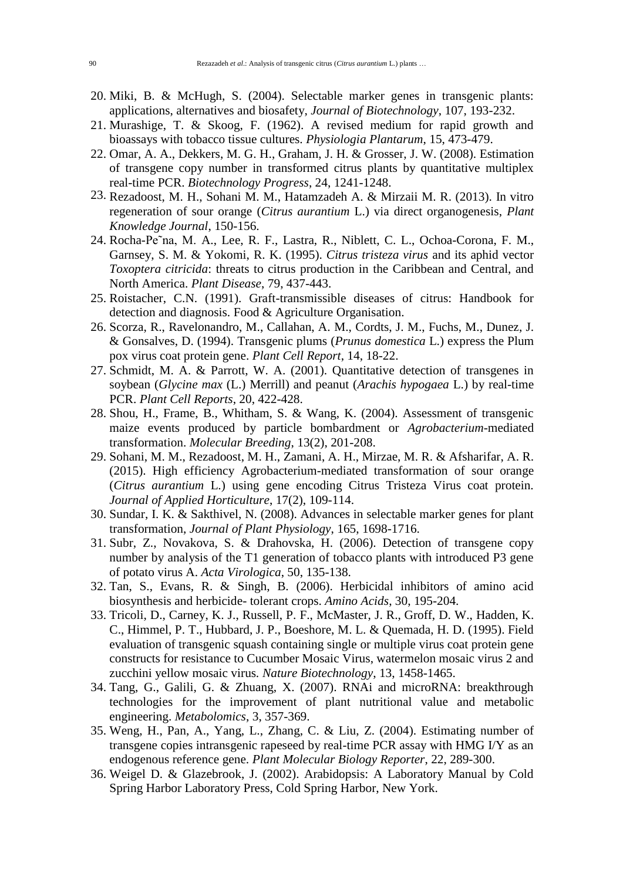- 20. Miki, B. & McHugh, S. (2004). Selectable marker genes in transgenic plants: applications, alternatives and biosafety, *Journal of Biotechnology*, 107, 193-232.
- 21. Murashige, T. & Skoog, F. (1962). A revised medium for rapid growth and bioassays with tobacco tissue cultures. *Physiologia Plantarum*, 15, 473-479.
- 22. Omar, A. A., Dekkers, M. G. H., Graham, J. H. & Grosser, J. W. (2008). Estimation of transgene copy number in transformed citrus plants by quantitative multiplex real-time PCR. *Biotechnology Progress*, 24, 1241-1248.
- 23. Rezadoost, M. H., Sohani M. M., Hatamzadeh A. & Mirzaii M. R. (2013). In vitro regeneration of sour orange (*Citrus aurantium* L.) via direct organogenesis, *Plant Knowledge Journal*, 150-156.
- 24. Rocha-Pe˜na, M. A., Lee, R. F., Lastra, R., Niblett, C. L., Ochoa-Corona, F. M., Garnsey, S. M. & Yokomi, R. K. (1995). *Citrus tristeza virus* and its aphid vector *Toxoptera citricida*: threats to citrus production in the Caribbean and Central, and North America. *Plant Disease*, 79, 437-443.
- 25. Roistacher, C.N. (1991). Graft-transmissible diseases of citrus: Handbook for detection and diagnosis. Food & Agriculture Organisation.
- 26. Scorza, R., Ravelonandro, M., Callahan, A. M., Cordts, J. M., Fuchs, M., Dunez, J. & Gonsalves, D. (1994). Transgenic plums (*Prunus domestica* L.) express the Plum pox virus coat protein gene. *Plant Cell Report*, 14, 18-22.
- 27. Schmidt, M. A. & Parrott, W. A. (2001). Quantitative detection of transgenes in soybean (*Glycine max* (L.) Merrill) and peanut (*Arachis hypogaea* L.) by real-time PCR. *Plant Cell Reports*, 20, 422-428.
- 28. Shou, H., Frame, B., Whitham, S. & Wang, K. (2004). Assessment of transgenic maize events produced by particle bombardment or *Agrobacterium*-mediated transformation. *Molecular Breeding*, 13(2), 201-208.
- 29. Sohani, M. M., Rezadoost, M. H., Zamani, A. H., Mirzae, M. R. & Afsharifar, A. R. (2015). High efficiency Agrobacterium-mediated transformation of sour orange (*Citrus aurantium* L.) using gene encoding Citrus Tristeza Virus coat protein. *Journal of Applied Horticulture*, 17(2), 109-114.
- 30. Sundar, I. K. & Sakthivel, N. (2008). Advances in selectable marker genes for plant transformation, *Journal of Plant Physiology*, 165, 1698-1716.
- 31. Subr, Z., Novakova, S. & Drahovska, H. (2006). Detection of transgene copy number by analysis of the T1 generation of tobacco plants with introduced P3 gene of potato virus A. *Acta Virologica*, 50, 135-138.
- 32. Tan, S., Evans, R. & Singh, B. (2006). Herbicidal inhibitors of amino acid biosynthesis and herbicide- tolerant crops. *Amino Acids*, 30, 195-204.
- 33. Tricoli, D., Carney, K. J., Russell, P. F., McMaster, J. R., Groff, D. W., Hadden, K. C., Himmel, P. T., Hubbard, J. P., Boeshore, M. L. & Quemada, H. D. (1995). Field evaluation of transgenic squash containing single or multiple virus coat protein gene constructs for resistance to Cucumber Mosaic Virus, watermelon mosaic virus 2 and zucchini yellow mosaic virus*. Nature Biotechnology*, 13, 1458-1465.
- 34. Tang, G., Galili, G. & Zhuang, X. (2007). RNAi and microRNA: breakthrough technologies for the improvement of plant nutritional value and metabolic engineering. *Metabolomics*, 3, 357-369.
- 35. Weng, H., Pan, A., Yang, L., Zhang, C. & Liu, Z. (2004). Estimating number of transgene copies intransgenic rapeseed by real-time PCR assay with HMG I/Y as an endogenous reference gene. *Plant Molecular Biology Reporter*, 22, 289-300.
- 36. Weigel D. & Glazebrook, J. (2002). Arabidopsis: A Laboratory Manual by Cold Spring Harbor Laboratory Press, Cold Spring Harbor, New York.